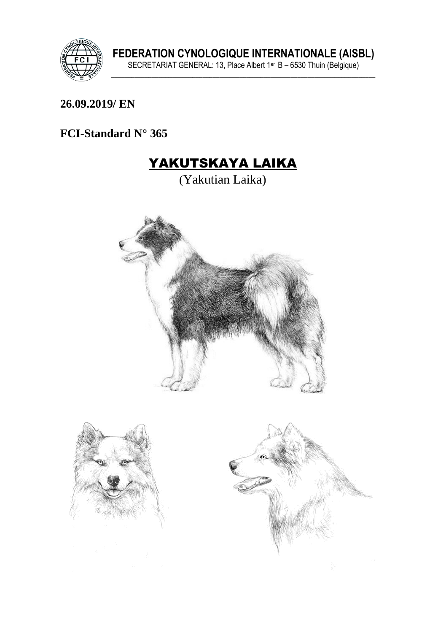

## 26.09.2019/ EN

## FCI-Standard N° 365

# YAKUTSKAYA LAIKA

(Yakutian Laika)



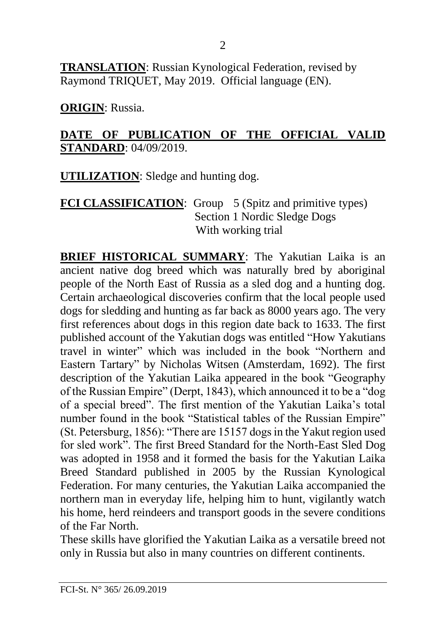**TRANSLATION**: Russian Kynological Federation, revised by Raymond TRIQUET, May 2019. Official language (EN).

**ORIGIN**: Russia.

#### **DATE OF PUBLICATION OF THE OFFICIAL VALID STANDARD**: 04/09/2019.

**UTILIZATION**: Sledge and hunting dog.

#### **FCI CLASSIFICATION:** Group 5 (Spitz and primitive types) Section 1 Nordic Sledge Dogs With working trial

**BRIEF HISTORICAL SUMMARY**: The Yakutian Laika is an ancient native dog breed which was naturally bred by aboriginal people of the North East of Russia as a sled dog and a hunting dog. Certain archaeological discoveries confirm that the local people used dogs for sledding and hunting as far back as 8000 years ago. The very first references about dogs in this region date back to 1633. The first published account of the Yakutian dogs was entitled "How Yakutians travel in winter" which was included in the book "Northern and Eastern Tartary" by Nicholas Witsen (Amsterdam, 1692). The first description of the Yakutian Laika appeared in the book "Geography of the Russian Empire" (Derpt, 1843), which announced it to be a "dog of a special breed". The first mention of the Yakutian Laika's total number found in the book "Statistical tables of the Russian Empire" (St. Petersburg, 1856): "There are 15157 dogs in the Yakut region used for sled work". The first Breed Standard for the North-East Sled Dog was adopted in 1958 and it formed the basis for the Yakutian Laika Breed Standard published in 2005 by the Russian Kynological Federation. For many centuries, the Yakutian Laika accompanied the northern man in everyday life, helping him to hunt, vigilantly watch his home, herd reindeers and transport goods in the severe conditions of the Far North.

These skills have glorified the Yakutian Laika as a versatile breed not only in Russia but also in many countries on different continents.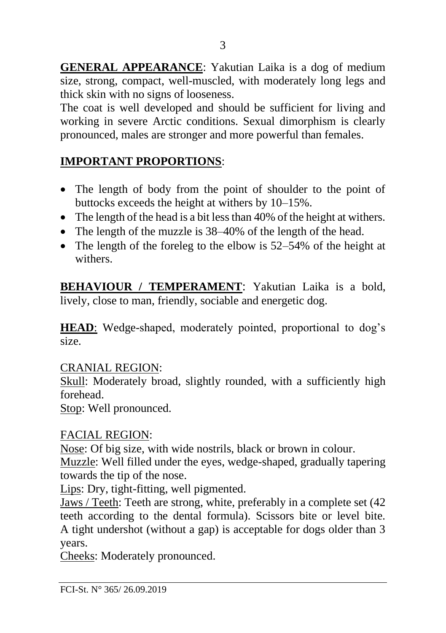**GENERAL APPEARANCE**: Yakutian Laika is a dog of medium size, strong, compact, well-muscled, with moderately long legs and thick skin with no signs of looseness.

The coat is well developed and should be sufficient for living and working in severe Arctic conditions. Sexual dimorphism is clearly pronounced, males are stronger and more powerful than females.

## **IMPORTANT PROPORTIONS**:

- The length of body from the point of shoulder to the point of buttocks exceeds the height at withers by 10–15%.
- The length of the head is a bit less than 40% of the height at withers.
- The length of the muzzle is 38–40% of the length of the head.
- The length of the foreleg to the elbow is  $52-54\%$  of the height at withers.

**BEHAVIOUR / TEMPERAMENT**: Yakutian Laika is a bold, lively, close to man, friendly, sociable and energetic dog.

HEAD: Wedge-shaped, moderately pointed, proportional to dog's size.

## CRANIAL REGION:

Skull: Moderately broad, slightly rounded, with a sufficiently high forehead.

Stop: Well pronounced.

## FACIAL REGION:

Nose: Of big size, with wide nostrils, black or brown in colour.

Muzzle: Well filled under the eyes, wedge-shaped, gradually tapering towards the tip of the nose.

Lips: Dry, tight-fitting, well pigmented.

Jaws / Teeth: Teeth are strong, white, preferably in a complete set (42 teeth according to the dental formula). Scissors bite or level bite. A tight undershot (without a gap) is acceptable for dogs older than 3 years.

Cheeks: Moderately pronounced.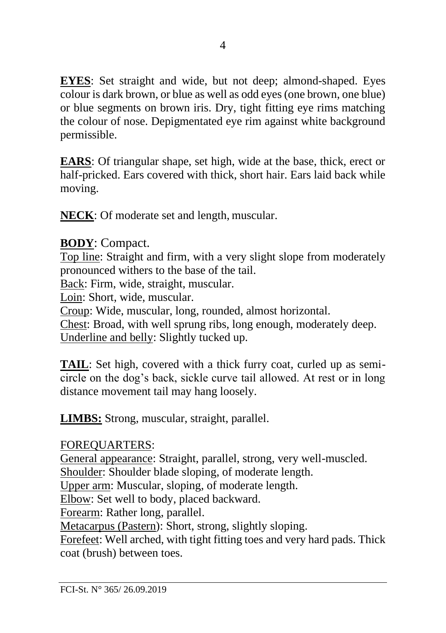**EYES**: Set straight and wide, but not deep; almond-shaped. Eyes colour is dark brown, or blue as well as odd eyes (one brown, one blue) or blue segments on brown iris. Dry, tight fitting eye rims matching the colour of nose. Depigmentated eye rim against white background permissible.

**EARS**: Of triangular shape, set high, wide at the base, thick, erect or half-pricked. Ears covered with thick, short hair. Ears laid back while moving.

**NECK**: Of moderate set and length, muscular.

## **BODY**: Compact.

Top line: Straight and firm, with a very slight slope from moderately pronounced withers to the base of the tail.

Back: Firm, wide, straight, muscular.

Loin: Short, wide, muscular.

Croup: Wide, muscular, long, rounded, almost horizontal.

Chest: Broad, with well sprung ribs, long enough, moderately deep. Underline and belly: Slightly tucked up.

**TAIL**: Set high, covered with a thick furry coat, curled up as semicircle on the dog's back, sickle curve tail allowed. At rest or in long distance movement tail may hang loosely.

**LIMBS:** Strong, muscular, straight, parallel.

## FOREQUARTERS:

General appearance: Straight, parallel, strong, very well-muscled.

Shoulder: Shoulder blade sloping, of moderate length.

Upper arm: Muscular, sloping, of moderate length.

Elbow: Set well to body, placed backward.

Forearm: Rather long, parallel.

Metacarpus (Pastern): Short, strong, slightly sloping.

Forefeet: Well arched, with tight fitting toes and very hard pads. Thick coat (brush) between toes.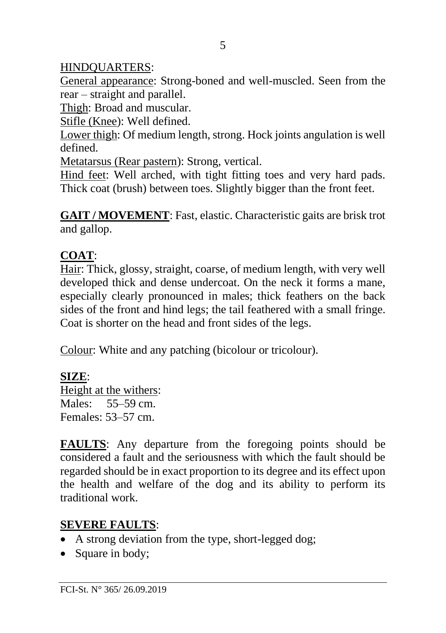## HINDQUARTERS:

General appearance: Strong-boned and well-muscled. Seen from the rear – straight and parallel.

Thigh: Broad and muscular.

Stifle (Knee): Well defined.

Lower thigh: Of medium length, strong. Hock joints angulation is well defined.

Metatarsus (Rear pastern): Strong, vertical.

Hind feet: Well arched, with tight fitting toes and very hard pads. Thick coat (brush) between toes. Slightly bigger than the front feet.

**GAIT / MOVEMENT**: Fast, elastic. Characteristic gaits are brisk trot and gallop.

## **COAT**:

Hair: Thick, glossy, straight, coarse, of medium length, with very well developed thick and dense undercoat. On the neck it forms a mane, especially clearly pronounced in males; thick feathers on the back sides of the front and hind legs; the tail feathered with a small fringe. Coat is shorter on the head and front sides of the legs.

Colour: White and any patching (bicolour or tricolour).

## **SIZE**:

Height at the withers: Males: 55–59 cm. Females: 53–57 cm.

**FAULTS**: Any departure from the foregoing points should be considered a fault and the seriousness with which the fault should be regarded should be in exact proportion to its degree and its effect upon the health and welfare of the dog and its ability to perform its traditional work.

## **SEVERE FAULTS**:

- A strong deviation from the type, short-legged dog;
- Square in body;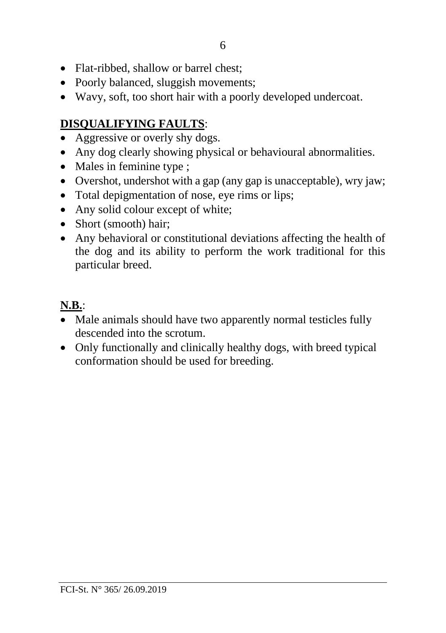- Flat-ribbed, shallow or barrel chest;
- Poorly balanced, sluggish movements;
- Wavy, soft, too short hair with a poorly developed undercoat.

# **DISQUALIFYING FAULTS**:

- Aggressive or overly shy dogs.
- Any dog clearly showing physical or behavioural abnormalities.
- Males in feminine type ;
- Overshot, undershot with a gap (any gap is unacceptable), wry jaw;
- Total depigmentation of nose, eye rims or lips;
- Any solid colour except of white;
- Short (smooth) hair:
- Any behavioral or constitutional deviations affecting the health of the dog and its ability to perform the work traditional for this particular breed.

# **N.B.**:

- Male animals should have two apparently normal testicles fully descended into the scrotum.
- Only functionally and clinically healthy dogs, with breed typical conformation should be used for breeding.